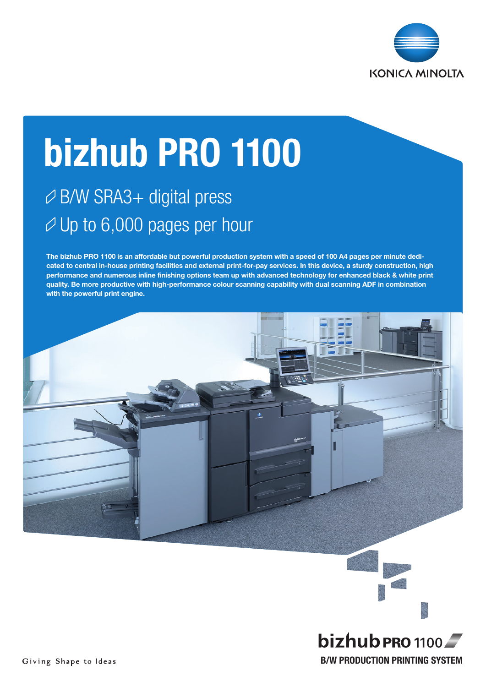

# bizhub PRO 1100

## B/W SRA3+ digital press  $\varnothing$  Up to 6,000 pages per hour

The bizhub PRO 1100 is an affordable but powerful production system with a speed of 100 A4 pages per minute dedicated to central in-house printing facilities and external print-for-pay services. In this device, a sturdy construction, high performance and numerous inline finishing options team up with advanced technology for enhanced black & white print quality. Be more productive with high-performance colour scanning capability with dual scanning ADF in combination with the powerful print engine.



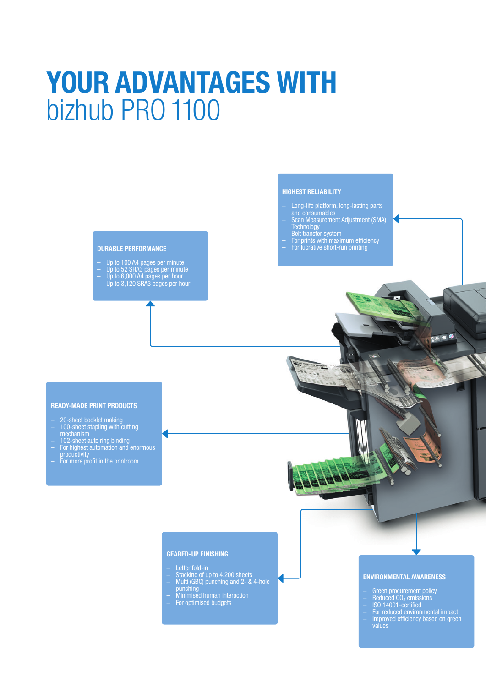## YOUR ADVANTAGES WITH bizhub PRO 1100

#### DURABLE PERFORMANCE

- Up to 100 A4 pages per minute<br>Up to 52 SRA3 pages per minute<br>Up to 6,000 A4 pages per hour<br>Up to 3,120 SRA3 pages per hour
- 
- 
- 

## HIGHEST RELIABILITY

- Long-life platform, long-lasting parts and consumables
- Scan Measurement Adjustment (SMA) **Technology**
- Belt transfer system
- For prints with maximum efficiency
- For lucrative short-run printing

## READY-MADE PRINT PRODUCTS

- 20-sheet booklet making – 100-sheet stapling with cutting
- mechanism – 102-sheet auto ring binding
- For highest automation and enormous productivity
- For more profit in the printroom

## GEARED-UP FINISHING

- Letter fold-in
- Stacking of up to 4,200 sheets<br>
Multi (GBC) punching and 2- & 4-hole<br>
punching
- punching<br>Minimised human interaction<br>For optimised budgets
- 

## ENVIRONMENTAL AWARENESS

 $\bullet$  0 6

- Green procurement policy
- Reduced CO₂ emissions
- ISO 14001-certified
- For reduced environmental impact – Improved efficiency based on green values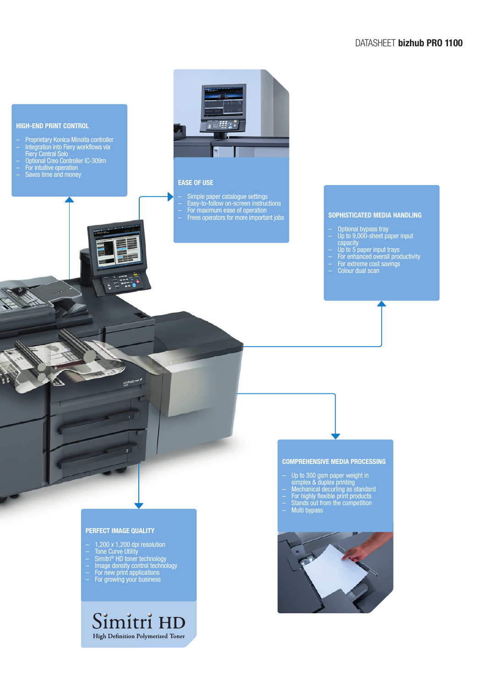## DATASHEET bizhub PRO 1100



- Proprietary Konica Minolta controller – Integration into Fiery workflows via Fiery Central Solo
- Optional Creo Controller IC-309m
- For intuitive operation
- Saves time and money



## EASE OF USE

– Simple paper catalogue settings – Easy-to-follow on-screen instructions – For maximum ease of operation<br>– Frees operators for more important jobs **SOPHISTICATED MEDIA HANDLING** 

- Optional bypass tray
- Up to 9,000-sheet paper input capacity
- Up to 5 paper input trays
- For enhanced overall productivity
- For extreme cost savings
- Colour dual scan

## PERFECT IMAGE QUALITY

– 1,200 x 1,200 dpi resolution

 $bizhub$ 

 $\overline{1}$ 

- Tone Curve Utility
- Simitri® HD toner technology – Image density control technology
- For new print applications
- For growing your business

## Simitri HD High Definition Polymerised Toner

## COMPREHENSIVE MEDIA PROCESSING

- Up to 300 gsm paper weight in
- simplex & duplex printing<br>
 Mechanical decurling as standard<br>
 For highly flexible print products<br>
 Stands out from the competition<br>
 Multi bypass
- 
- 
-